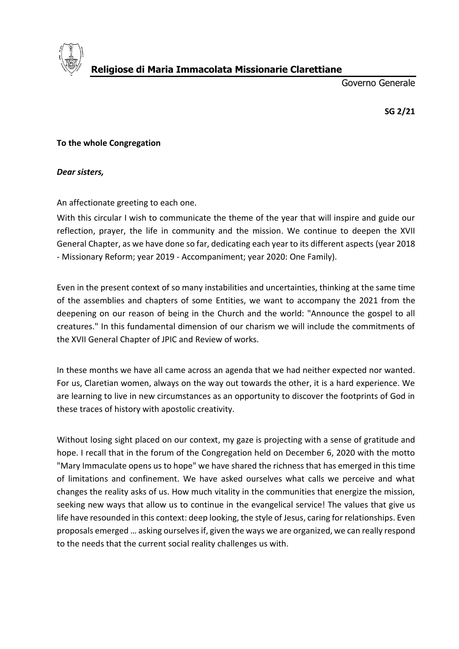

**Religiose di Maria Immacolata Missionarie Clarettiane**

Governo Generale

**SG 2/21**

## **To the whole Congregation**

*Dear sisters,*

An affectionate greeting to each one.

With this circular I wish to communicate the theme of the year that will inspire and guide our reflection, prayer, the life in community and the mission. We continue to deepen the XVII General Chapter, as we have done so far, dedicating each year to its different aspects (year 2018 - Missionary Reform; year 2019 - Accompaniment; year 2020: One Family).

Even in the present context of so many instabilities and uncertainties, thinking at the same time of the assemblies and chapters of some Entities, we want to accompany the 2021 from the deepening on our reason of being in the Church and the world: "Announce the gospel to all creatures." In this fundamental dimension of our charism we will include the commitments of the XVII General Chapter of JPIC and Review of works.

In these months we have all came across an agenda that we had neither expected nor wanted. For us, Claretian women, always on the way out towards the other, it is a hard experience. We are learning to live in new circumstances as an opportunity to discover the footprints of God in these traces of history with apostolic creativity.

Without losing sight placed on our context, my gaze is projecting with a sense of gratitude and hope. I recall that in the forum of the Congregation held on December 6, 2020 with the motto "Mary Immaculate opens us to hope" we have shared the richness that has emerged in this time of limitations and confinement. We have asked ourselves what calls we perceive and what changes the reality asks of us. How much vitality in the communities that energize the mission, seeking new ways that allow us to continue in the evangelical service! The values that give us life have resounded in this context: deep looking, the style of Jesus, caring for relationships. Even proposals emerged … asking ourselves if, given the ways we are organized, we can really respond to the needs that the current social reality challenges us with.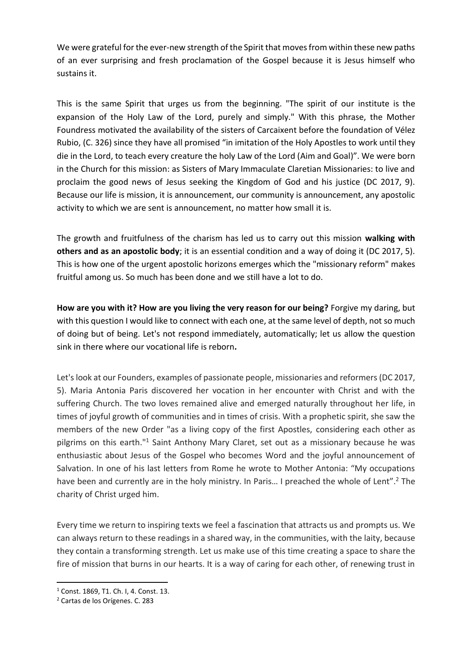We were grateful for the ever-new strength of the Spirit that moves from within these new paths of an ever surprising and fresh proclamation of the Gospel because it is Jesus himself who sustains it.

This is the same Spirit that urges us from the beginning. "The spirit of our institute is the expansion of the Holy Law of the Lord, purely and simply." With this phrase, the Mother Foundress motivated the availability of the sisters of Carcaixent before the foundation of Vélez Rubio, (C. 326) since they have all promised "in imitation of the Holy Apostles to work until they die in the Lord, to teach every creature the holy Law of the Lord (Aim and Goal)". We were born in the Church for this mission: as Sisters of Mary Immaculate Claretian Missionaries: to live and proclaim the good news of Jesus seeking the Kingdom of God and his justice (DC 2017, 9). Because our life is mission, it is announcement, our community is announcement, any apostolic activity to which we are sent is announcement, no matter how small it is.

The growth and fruitfulness of the charism has led us to carry out this mission **walking with others and as an apostolic body**; it is an essential condition and a way of doing it (DC 2017, 5). This is how one of the urgent apostolic horizons emerges which the "missionary reform" makes fruitful among us. So much has been done and we still have a lot to do.

**How are you with it? How are you living the very reason for our being?** Forgive my daring, but with this question I would like to connect with each one, at the same level of depth, not so much of doing but of being. Let's not respond immediately, automatically; let us allow the question sink in there where our vocational life is reborn*.* 

Let's look at our Founders, examples of passionate people, missionaries and reformers (DC 2017, 5). Maria Antonia Paris discovered her vocation in her encounter with Christ and with the suffering Church. The two loves remained alive and emerged naturally throughout her life, in times of joyful growth of communities and in times of crisis. With a prophetic spirit, she saw the members of the new Order "as a living copy of the first Apostles, considering each other as pilgrims on this earth."<sup>1</sup> Saint Anthony Mary Claret, set out as a missionary because he was enthusiastic about Jesus of the Gospel who becomes Word and the joyful announcement of Salvation. In one of his last letters from Rome he wrote to Mother Antonia: "My occupations have been and currently are in the holy ministry. In Paris... I preached the whole of Lent".<sup>2</sup> The charity of Christ urged him.

Every time we return to inspiring texts we feel a fascination that attracts us and prompts us. We can always return to these readings in a shared way, in the communities, with the laity, because they contain a transforming strength. Let us make use of this time creating a space to share the fire of mission that burns in our hearts. It is a way of caring for each other, of renewing trust in

<sup>1</sup> Const. 1869, T1. Ch. I, 4. Const. 13.

<sup>2</sup> Cartas de los Orígenes. C. 283